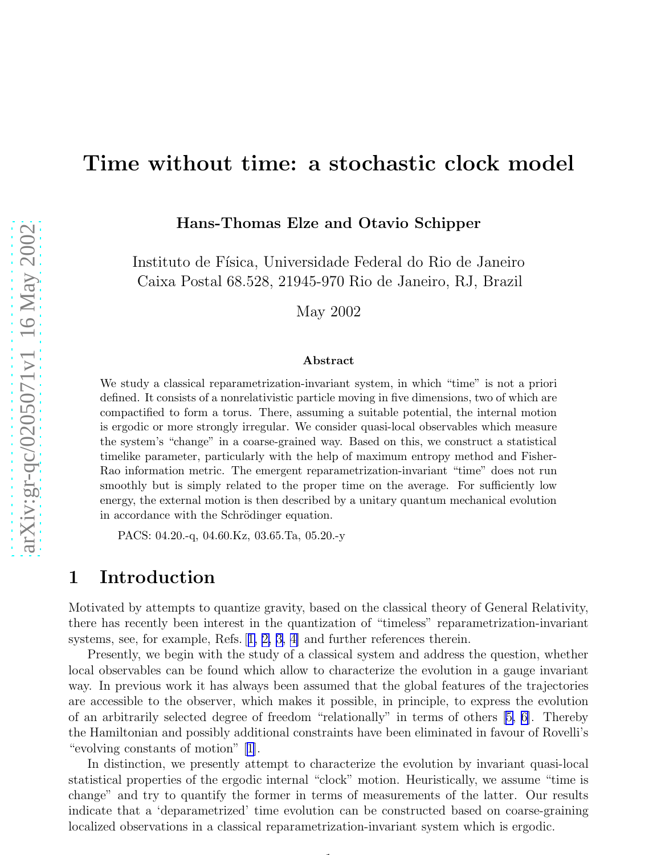# Time without time: a stochastic clock model

Hans-Thomas Elze and Otavio Schipper

Instituto de Física, Universidade Federal do Rio de Janeiro Caixa Postal 68.528, 21945-970 Rio de Janeiro, RJ, Brazil

May 2002

#### Abstract

We study a classical reparametrization-invariant system, in which "time" is not a priori defined. It consists of a nonrelativistic particle moving in five dimensions, two of which are compactified to form a torus. There, assuming a suitable potential, the internal motion is ergodic or more strongly irregular. We consider quasi-local observables which measure the system's "change" in a coarse-grained way. Based on this, we construct a statistical timelike parameter, particularly with the help of maximum entropy method and Fisher-Rao information metric. The emergent reparametrization-invariant "time" does not run smoothly but is simply related to the proper time on the average. For sufficiently low energy, the external motion is then described by a unitary quantum mechanical evolution in accordance with the Schrödinger equation.

PACS: 04.20.-q, 04.60.Kz, 03.65.Ta, 05.20.-y

## 1 Introduction

Motivated by attempts to quantize gravity, based on the classical theory of General Relativity, there has recently been interest in the quantization of "timeless" reparametrization-invariant systems, see, for example, Refs.[[1, 2, 3, 4\]](#page-16-0) and further references therein.

Presently, we begin with the study of a classical system and address the question, whether local observables can be found which allow to characterize the evolution in a gauge invariant way. In previous work it has always been assumed that the global features of the trajectories are accessible to the observer, which makes it possible, in principle, to express the evolution of an arbitrarily selected degree of freedom "relationally" in terms of others[[5, 6\]](#page-16-0). Thereby the Hamiltonian and possibly additional constraints have been eliminated in favour of Rovelli's "evolving constants of motion" [\[1\]](#page-16-0).

In distinction, we presently attempt to characterize the evolution by invariant quasi-local statistical properties of the ergodic internal "clock" motion. Heuristically, we assume "time is change" and try to quantify the former in terms of measurements of the latter. Our results indicate that a 'deparametrized' time evolution can be constructed based on coarse-graining localized observations in a classical reparametrization-invariant system which is ergodic.

 $\overline{1}$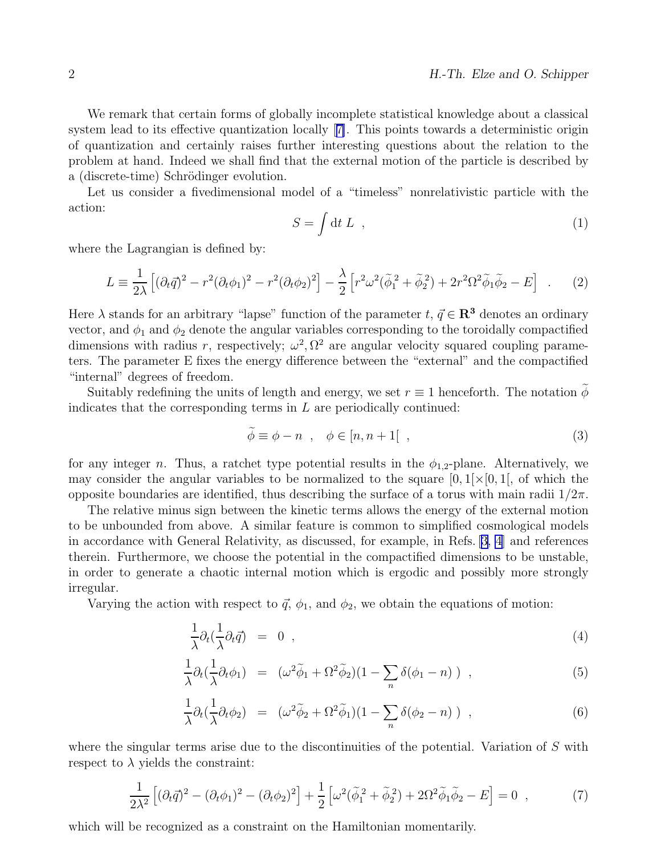<span id="page-1-0"></span>We remark that certain forms of globally incomplete statistical knowledge about a classical system lead to its effective quantization locally[[7\]](#page-16-0). This points towards a deterministic origin of quantization and certainly raises further interesting questions about the relation to the problem at hand. Indeed we shall find that the external motion of the particle is described by a (discrete-time) Schrödinger evolution.

Let us consider a fivedimensional model of a "timeless" nonrelativistic particle with the action:

$$
S = \int \mathrm{d}t \, L \quad , \tag{1}
$$

where the Lagrangian is defined by:

$$
L = \frac{1}{2\lambda} \left[ (\partial_t \vec{q})^2 - r^2 (\partial_t \phi_1)^2 - r^2 (\partial_t \phi_2)^2 \right] - \frac{\lambda}{2} \left[ r^2 \omega^2 (\tilde{\phi}_1^2 + \tilde{\phi}_2^2) + 2r^2 \Omega^2 \tilde{\phi}_1 \tilde{\phi}_2 - E \right] . \tag{2}
$$

Here  $\lambda$  stands for an arbitrary "lapse" function of the parameter  $t, \vec{q} \in \mathbb{R}^3$  denotes an ordinary vector, and  $\phi_1$  and  $\phi_2$  denote the angular variables corresponding to the toroidally compactified dimensions with radius r, respectively;  $\omega^2$ ,  $\Omega^2$  are angular velocity squared coupling parameters. The parameter E fixes the energy difference between the "external" and the compactified "internal" degrees of freedom.

Suitably redefining the units of length and energy, we set  $r \equiv 1$  henceforth. The notation  $\phi$ indicates that the corresponding terms in  $L$  are periodically continued:

$$
\phi \equiv \phi - n \quad , \quad \phi \in [n, n+1[ \quad , \tag{3}
$$

for any integer n. Thus, a ratchet type potential results in the  $\phi_{1,2}$ -plane. Alternatively, we may consider the angular variables to be normalized to the square  $[0, 1] \times [0, 1]$ , of which the opposite boundaries are identified, thus describing the surface of a torus with main radii  $1/2\pi$ .

The relative minus sign between the kinetic terms allows the energy of the external motion to be unbounded from above. A similar feature is common to simplified cosmological models in accordance with General Relativity, as discussed, for example, in Refs. [\[3, 4](#page-16-0)] and references therein. Furthermore, we choose the potential in the compactified dimensions to be unstable, in order to generate a chaotic internal motion which is ergodic and possibly more strongly irregular.

Varying the action with respect to  $\vec{q}$ ,  $\phi_1$ , and  $\phi_2$ , we obtain the equations of motion:

$$
\frac{1}{\lambda}\partial_t(\frac{1}{\lambda}\partial_t\vec{q}) = 0 \t{,} \t(4)
$$

$$
\frac{1}{\lambda}\partial_t(\frac{1}{\lambda}\partial_t\phi_1) = (\omega^2\tilde{\phi}_1 + \Omega^2\tilde{\phi}_2)(1 - \sum_n \delta(\phi_1 - n)), \qquad (5)
$$

$$
\frac{1}{\lambda}\partial_t(\frac{1}{\lambda}\partial_t\phi_2) = (\omega^2\tilde{\phi}_2 + \Omega^2\tilde{\phi}_1)(1 - \sum_n \delta(\phi_2 - n)), \qquad (6)
$$

where the singular terms arise due to the discontinuities of the potential. Variation of S with respect to  $\lambda$  yields the constraint:

$$
\frac{1}{2\lambda^2} \left[ (\partial_t \vec{q})^2 - (\partial_t \phi_1)^2 - (\partial_t \phi_2)^2 \right] + \frac{1}{2} \left[ \omega^2 (\tilde{\phi}_1^2 + \tilde{\phi}_2^2) + 2\Omega^2 \tilde{\phi}_1 \tilde{\phi}_2 - E \right] = 0 \quad , \tag{7}
$$

which will be recognized as a constraint on the Hamiltonian momentarily.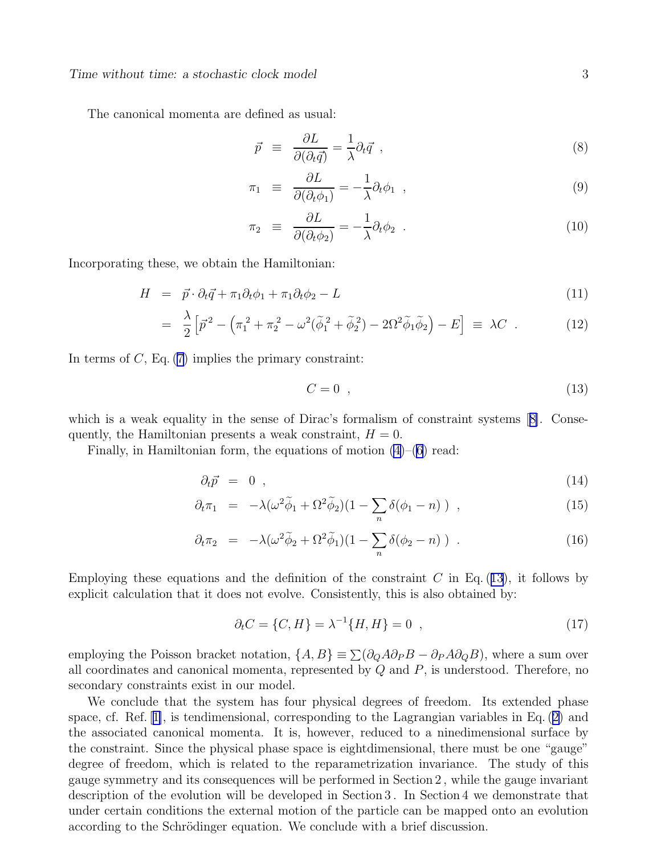<span id="page-2-0"></span>The canonical momenta are defined as usual:

$$
\vec{p} \equiv \frac{\partial L}{\partial(\partial_t \vec{q})} = \frac{1}{\lambda} \partial_t \vec{q} \tag{8}
$$

$$
\pi_1 \equiv \frac{\partial L}{\partial(\partial_t \phi_1)} = -\frac{1}{\lambda} \partial_t \phi_1 , \qquad (9)
$$

$$
\pi_2 \equiv \frac{\partial L}{\partial(\partial_t \phi_2)} = -\frac{1}{\lambda} \partial_t \phi_2 . \tag{10}
$$

Incorporating these, we obtain the Hamiltonian:

$$
H = \vec{p} \cdot \partial_t \vec{q} + \pi_1 \partial_t \phi_1 + \pi_1 \partial_t \phi_2 - L \tag{11}
$$

$$
= \frac{\lambda}{2} \left[ \vec{p}^2 - \left( \pi_1^2 + \pi_2^2 - \omega^2 (\tilde{\phi}_1^2 + \tilde{\phi}_2^2) - 2\Omega^2 \tilde{\phi}_1 \tilde{\phi}_2 \right) - E \right] \equiv \lambda C \quad . \tag{12}
$$

In terms of  $C$ , Eq.  $(7)$  implies the primary constraint:

$$
C = 0 \tag{13}
$$

whichis a weak equality in the sense of Dirac's formalism of constraint systems [[8\]](#page-17-0). Consequently, the Hamiltonian presents a weak constraint,  $H = 0$ .

Finally, in Hamiltonian form, the equations of motion  $(4)$ – $(6)$  read:

$$
\partial_t \vec{p} = 0 \tag{14}
$$

$$
\partial_t \pi_1 = -\lambda (\omega^2 \tilde{\phi}_1 + \Omega^2 \tilde{\phi}_2)(1 - \sum_n \delta(\phi_1 - n)) , \qquad (15)
$$

$$
\partial_t \pi_2 = -\lambda (\omega^2 \widetilde{\phi}_2 + \Omega^2 \widetilde{\phi}_1)(1 - \sum_n \delta(\phi_2 - n)) \quad . \tag{16}
$$

Employing these equations and the definition of the constraint  $C$  in Eq. (13), it follows by explicit calculation that it does not evolve. Consistently, this is also obtained by:

$$
\partial_t C = \{C, H\} = \lambda^{-1} \{H, H\} = 0 \quad , \tag{17}
$$

employing the Poisson bracket notation,  $\{A, B\} \equiv \sum (\partial_Q A \partial_P B - \partial_P A \partial_Q B)$ , where a sum over all coordinates and canonical momenta, represented by  $Q$  and  $P$ , is understood. Therefore, no secondary constraints exist in our model.

We conclude that the system has four physical degrees of freedom. Its extended phase space, cf. Ref.[[1\]](#page-16-0), is tendimensional, corresponding to the Lagrangian variables in Eq.([2\)](#page-1-0) and the associated canonical momenta. It is, however, reduced to a ninedimensional surface by the constraint. Since the physical phase space is eightdimensional, there must be one "gauge" degree of freedom, which is related to the reparametrization invariance. The study of this gauge symmetry and its consequences will be performed in Section 2 , while the gauge invariant description of the evolution will be developed in Section 3 . In Section 4 we demonstrate that under certain conditions the external motion of the particle can be mapped onto an evolution according to the Schrödinger equation. We conclude with a brief discussion.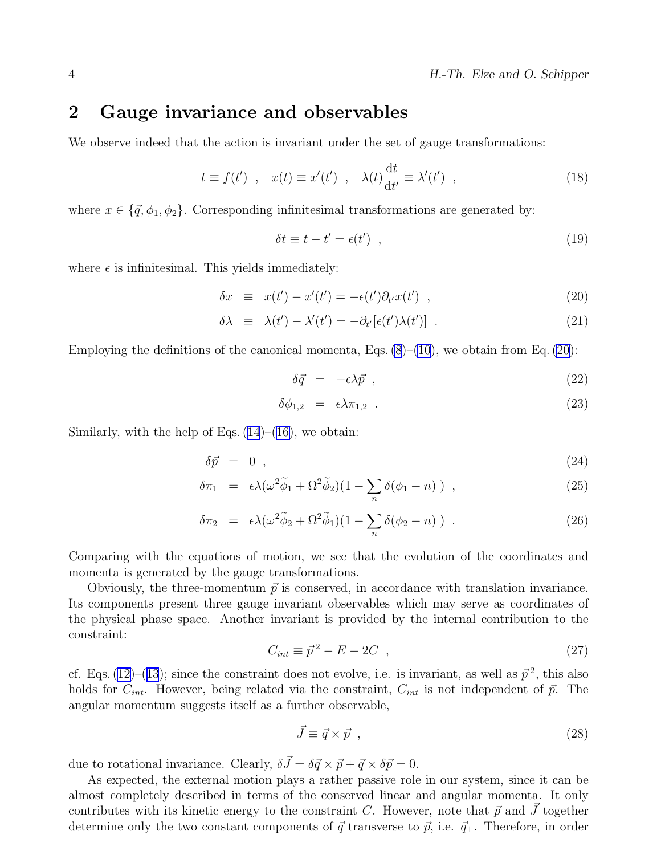## <span id="page-3-0"></span>2 Gauge invariance and observables

We observe indeed that the action is invariant under the set of gauge transformations:

$$
t \equiv f(t') , \quad x(t) \equiv x'(t') , \quad \lambda(t) \frac{\mathrm{d}t}{\mathrm{d}t'} \equiv \lambda'(t') , \tag{18}
$$

where  $x \in \{\vec{q}, \phi_1, \phi_2\}$ . Corresponding infinitesimal transformations are generated by:

$$
\delta t \equiv t - t' = \epsilon(t') \quad , \tag{19}
$$

where  $\epsilon$  is infinitesimal. This yields immediately:

$$
\delta x \equiv x(t') - x'(t') = -\epsilon(t')\partial_{t'}x(t') , \qquad (20)
$$

$$
\delta \lambda \equiv \lambda(t') - \lambda'(t') = -\partial_{t'}[\epsilon(t')\lambda(t')] \quad . \tag{21}
$$

Employing the definitions of the canonical momenta, Eqs.  $(8)$ – $(10)$  $(10)$ , we obtain from Eq.  $(20)$ :

$$
\delta \vec{q} = -\epsilon \lambda \vec{p} \tag{22}
$$

$$
\delta\phi_{1,2} = \epsilon\lambda\pi_{1,2} \tag{23}
$$

Similarly, with the help of Eqs.  $(14)$ – $(16)$ , we obtain:

$$
\delta \vec{p} = 0 \tag{24}
$$

$$
\delta \pi_1 = \epsilon \lambda (\omega^2 \tilde{\phi}_1 + \Omega^2 \tilde{\phi}_2)(1 - \sum_n \delta(\phi_1 - n)) , \qquad (25)
$$

$$
\delta \pi_2 = \epsilon \lambda (\omega^2 \tilde{\phi}_2 + \Omega^2 \tilde{\phi}_1)(1 - \sum_n \delta(\phi_2 - n)) \quad . \tag{26}
$$

Comparing with the equations of motion, we see that the evolution of the coordinates and momenta is generated by the gauge transformations.

Obviously, the three-momentum  $\vec{p}$  is conserved, in accordance with translation invariance. Its components present three gauge invariant observables which may serve as coordinates of the physical phase space. Another invariant is provided by the internal contribution to the constraint:

$$
C_{int} \equiv \vec{p}^2 - E - 2C \quad , \tag{27}
$$

cf.Eqs. ([12\)](#page-2-0)–([13](#page-2-0)); since the constraint does not evolve, i.e. is invariant, as well as  $\vec{p}^2$ , this also holds for  $C_{int}$ . However, being related via the constraint,  $C_{int}$  is not independent of  $\vec{p}$ . The angular momentum suggests itself as a further observable,

$$
\vec{J} \equiv \vec{q} \times \vec{p} \tag{28}
$$

due to rotational invariance. Clearly,  $\delta \vec{J} = \delta \vec{q} \times \vec{p} + \vec{q} \times \delta \vec{p} = 0$ .

As expected, the external motion plays a rather passive role in our system, since it can be almost completely described in terms of the conserved linear and angular momenta. It only contributes with its kinetic energy to the constraint C. However, note that  $\vec{p}$  and J together determine only the two constant components of  $\vec{q}$  transverse to  $\vec{p}$ , i.e.  $\vec{q}_{\perp}$ . Therefore, in order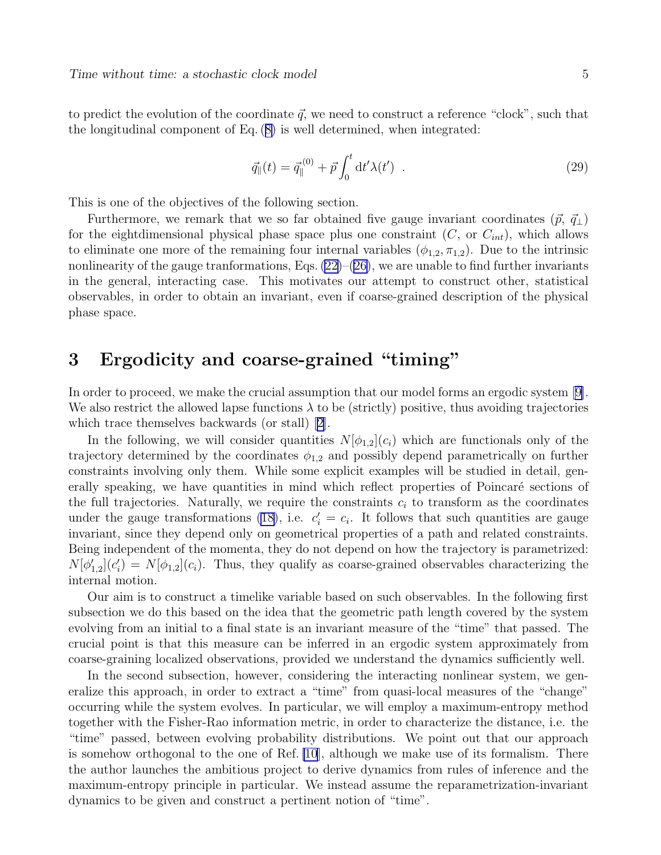<span id="page-4-0"></span>to predict the evolution of the coordinate  $\vec{q}$ , we need to construct a reference "clock", such that the longitudinal component of Eq.([8\)](#page-2-0) is well determined, when integrated:

$$
\vec{q}_{\parallel}(t) = \vec{q}_{\parallel}^{(0)} + \vec{p} \int_0^t dt' \lambda(t') . \qquad (29)
$$

This is one of the objectives of the following section.

Furthermore, we remark that we so far obtained five gauge invariant coordinates  $(\vec{p}, \vec{q}_{\perp})$ for the eightdimensional physical phase space plus one constraint  $(C, \text{ or } C_{int})$ , which allows to eliminate one more of the remaining four internal variables  $(\phi_{1,2}, \pi_{1,2})$ . Due to the intrinsic nonlinearity of the gauge tranformations, Eqs.  $(22)$ – $(26)$  $(26)$ , we are unable to find further invariants in the general, interacting case. This motivates our attempt to construct other, statistical observables, in order to obtain an invariant, even if coarse-grained description of the physical phase space.

# 3 Ergodicity and coarse-grained "timing"

In order to proceed, we make the crucial assumption that our model forms an ergodic system [\[9\]](#page-17-0). We also restrict the allowed lapse functions  $\lambda$  to be (strictly) positive, thus avoiding trajectories which trace themselves backwards (or stall)[[2\]](#page-16-0).

In the following, we will consider quantities  $N[\phi_{1,2}](c_i)$  which are functionals only of the trajectory determined by the coordinates  $\phi_{1,2}$  and possibly depend parametrically on further constraints involving only them. While some explicit examples will be studied in detail, generally speaking, we have quantities in mind which reflect properties of Poincaré sections of the full trajectories. Naturally, we require the constraints  $c_i$  to transform as the coordinates under the gauge transformations [\(18\)](#page-3-0), i.e.  $c_i' = c_i$ . It follows that such quantities are gauge invariant, since they depend only on geometrical properties of a path and related constraints. Being independent of the momenta, they do not depend on how the trajectory is parametrized:  $N[\phi'_{1,2}](c_i) = N[\phi_{1,2}](c_i)$ . Thus, they qualify as coarse-grained observables characterizing the internal motion.

Our aim is to construct a timelike variable based on such observables. In the following first subsection we do this based on the idea that the geometric path length covered by the system evolving from an initial to a final state is an invariant measure of the "time" that passed. The crucial point is that this measure can be inferred in an ergodic system approximately from coarse-graining localized observations, provided we understand the dynamics sufficiently well.

In the second subsection, however, considering the interacting nonlinear system, we generalize this approach, in order to extract a "time" from quasi-local measures of the "change" occurring while the system evolves. In particular, we will employ a maximum-entropy method together with the Fisher-Rao information metric, in order to characterize the distance, i.e. the "time" passed, between evolving probability distributions. We point out that our approach is somehow orthogonal to the one of Ref. [\[10](#page-17-0)], although we make use of its formalism. There the author launches the ambitious project to derive dynamics from rules of inference and the maximum-entropy principle in particular. We instead assume the reparametrization-invariant dynamics to be given and construct a pertinent notion of "time".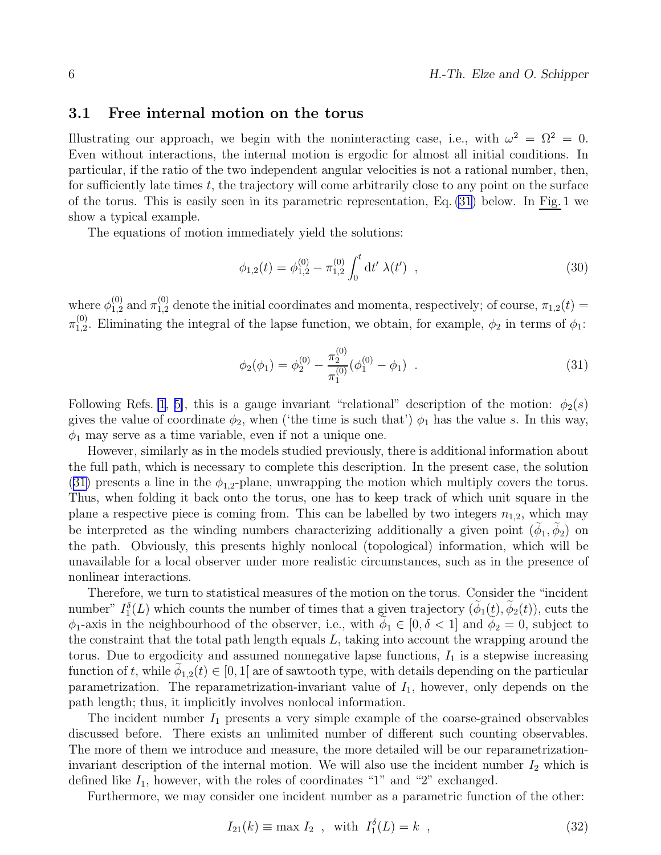#### <span id="page-5-0"></span>3.1 Free internal motion on the torus

Illustrating our approach, we begin with the noninteracting case, i.e., with  $\omega^2 = \Omega^2 = 0$ . Even without interactions, the internal motion is ergodic for almost all initial conditions. In particular, if the ratio of the two independent angular velocities is not a rational number, then, for sufficiently late times  $t$ , the trajectory will come arbitrarily close to any point on the surface of the torus. This is easily seen in its parametric representation, Eq. (31) below. In Fig. 1 we show a typical example.

The equations of motion immediately yield the solutions:

$$
\phi_{1,2}(t) = \phi_{1,2}^{(0)} - \pi_{1,2}^{(0)} \int_0^t dt' \lambda(t') , \qquad (30)
$$

where  $\phi_{1,2}^{(0)}$  and  $\pi_{1,2}^{(0)}$  denote the initial coordinates and momenta, respectively; of course,  $\pi_{1,2}(t)$  $\pi_{1.2}^{(0)}$  $_{1,2}^{(0)}$ . Eliminating the integral of the lapse function, we obtain, for example,  $\phi_2$  in terms of  $\phi_1$ :

$$
\phi_2(\phi_1) = \phi_2^{(0)} - \frac{\pi_2^{(0)}}{\pi_1^{(0)}} (\phi_1^{(0)} - \phi_1) \quad . \tag{31}
$$

Following Refs. [\[1](#page-16-0), [5\]](#page-16-0), this is a gauge invariant "relational" description of the motion:  $\phi_2(s)$ gives the value of coordinate  $\phi_2$ , when ('the time is such that')  $\phi_1$  has the value s. In this way,  $\phi_1$  may serve as a time variable, even if not a unique one.

However, similarly as in the models studied previously, there is additional information about the full path, which is necessary to complete this description. In the present case, the solution (31) presents a line in the  $\phi_{1,2}$ -plane, unwrapping the motion which multiply covers the torus. Thus, when folding it back onto the torus, one has to keep track of which unit square in the plane a respective piece is coming from. This can be labelled by two integers  $n_{1,2}$ , which may be interpreted as the winding numbers characterizing additionally a given point  $(\phi_1, \phi_2)$  on the path. Obviously, this presents highly nonlocal (topological) information, which will be unavailable for a local observer under more realistic circumstances, such as in the presence of nonlinear interactions.

Therefore, we turn to statistical measures of the motion on the torus. Consider the "incident number"  $I_1^{\delta}(L)$  which counts the number of times that a given trajectory  $(\phi_1(t), \phi_2(t))$ , cuts the  $\phi_1$ -axis in the neighbourhood of the observer, i.e., with  $\phi_1 \in [0, \delta < 1]$  and  $\phi_2 = 0$ , subject to the constraint that the total path length equals  $L$ , taking into account the wrapping around the torus. Due to ergodicity and assumed nonnegative lapse functions,  $I_1$  is a stepwise increasing function of t, while  $\phi_{1,2}(t) \in [0,1]$  are of sawtooth type, with details depending on the particular parametrization. The reparametrization-invariant value of  $I_1$ , however, only depends on the path length; thus, it implicitly involves nonlocal information.

The incident number  $I_1$  presents a very simple example of the coarse-grained observables discussed before. There exists an unlimited number of different such counting observables. The more of them we introduce and measure, the more detailed will be our reparametrizationinvariant description of the internal motion. We will also use the incident number  $I_2$  which is defined like  $I_1$ , however, with the roles of coordinates "1" and "2" exchanged.

Furthermore, we may consider one incident number as a parametric function of the other:

$$
I_{21}(k) \equiv \max I_2 , \quad \text{with} \quad I_1^{\delta}(L) = k , \tag{32}
$$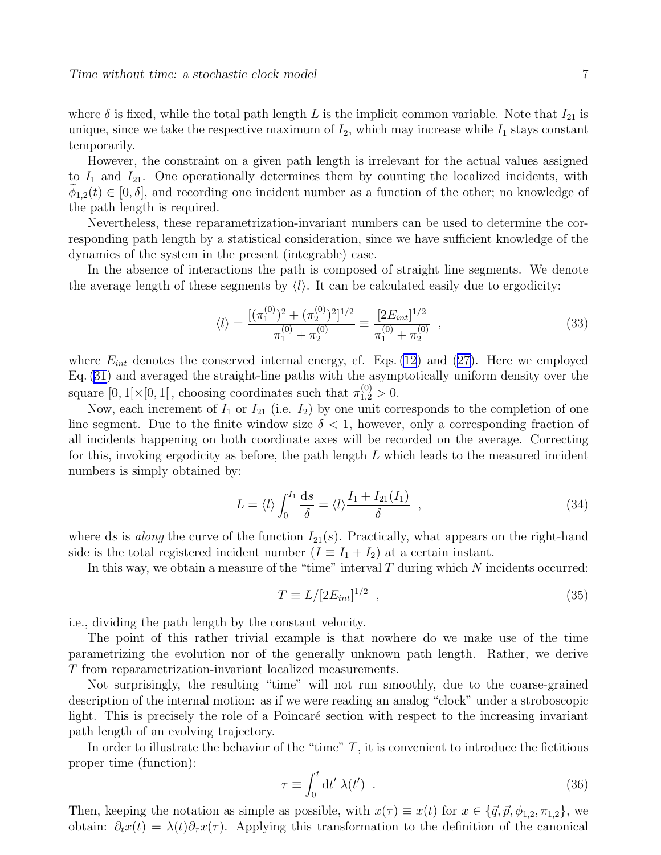<span id="page-6-0"></span>where  $\delta$  is fixed, while the total path length L is the implicit common variable. Note that  $I_{21}$  is unique, since we take the respective maximum of  $I_2$ , which may increase while  $I_1$  stays constant temporarily.

However, the constraint on a given path length is irrelevant for the actual values assigned to  $I_1$  and  $I_{21}$ . One operationally determines them by counting the localized incidents, with  $\phi_{1,2}(t) \in [0,\delta],$  and recording one incident number as a function of the other; no knowledge of the path length is required.

Nevertheless, these reparametrization-invariant numbers can be used to determine the corresponding path length by a statistical consideration, since we have sufficient knowledge of the dynamics of the system in the present (integrable) case.

In the absence of interactions the path is composed of straight line segments. We denote the average length of these segments by  $\langle l \rangle$ . It can be calculated easily due to ergodicity:

$$
\langle l \rangle = \frac{\left[ (\pi_1^{(0)})^2 + (\pi_2^{(0)})^2 \right]^{1/2}}{\pi_1^{(0)} + \pi_2^{(0)}} \equiv \frac{\left[ 2E_{int} \right]^{1/2}}{\pi_1^{(0)} + \pi_2^{(0)}} , \qquad (33)
$$

where $E_{int}$  denotes the conserved internal energy, cf. Eqs. [\(12](#page-2-0)) and ([27\)](#page-3-0). Here we employed Eq. [\(31\)](#page-5-0) and averaged the straight-line paths with the asymptotically uniform density over the square  $[0,1[\times[0,1[$ , choosing coordinates such that  $\pi_{1,2}^{(0)} > 0$ .

Now, each increment of  $I_1$  or  $I_{21}$  (i.e.  $I_2$ ) by one unit corresponds to the completion of one line segment. Due to the finite window size  $\delta < 1$ , however, only a corresponding fraction of all incidents happening on both coordinate axes will be recorded on the average. Correcting for this, invoking ergodicity as before, the path length  $L$  which leads to the measured incident numbers is simply obtained by:

$$
L = \langle l \rangle \int_0^{I_1} \frac{ds}{\delta} = \langle l \rangle \frac{I_1 + I_{21}(I_1)}{\delta} , \qquad (34)
$$

where ds is *along* the curve of the function  $I_{21}(s)$ . Practically, what appears on the right-hand side is the total registered incident number  $(I \equiv I_1 + I_2)$  at a certain instant.

In this way, we obtain a measure of the "time" interval  $T$  during which  $N$  incidents occurred:

$$
T \equiv L/[2E_{int}]^{1/2} \tag{35}
$$

i.e., dividing the path length by the constant velocity.

The point of this rather trivial example is that nowhere do we make use of the time parametrizing the evolution nor of the generally unknown path length. Rather, we derive T from reparametrization-invariant localized measurements.

Not surprisingly, the resulting "time" will not run smoothly, due to the coarse-grained description of the internal motion: as if we were reading an analog "clock" under a stroboscopic light. This is precisely the role of a Poincaré section with respect to the increasing invariant path length of an evolving trajectory.

In order to illustrate the behavior of the "time"  $T$ , it is convenient to introduce the fictitious proper time (function):

$$
\tau \equiv \int_0^t dt' \,\lambda(t') \quad . \tag{36}
$$

Then, keeping the notation as simple as possible, with  $x(\tau) \equiv x(t)$  for  $x \in \{\vec{q}, \vec{p}, \phi_{1,2}, \pi_{1,2}\}\,$ , we obtain:  $\partial_t x(t) = \lambda(t)\partial_\tau x(\tau)$ . Applying this transformation to the definition of the canonical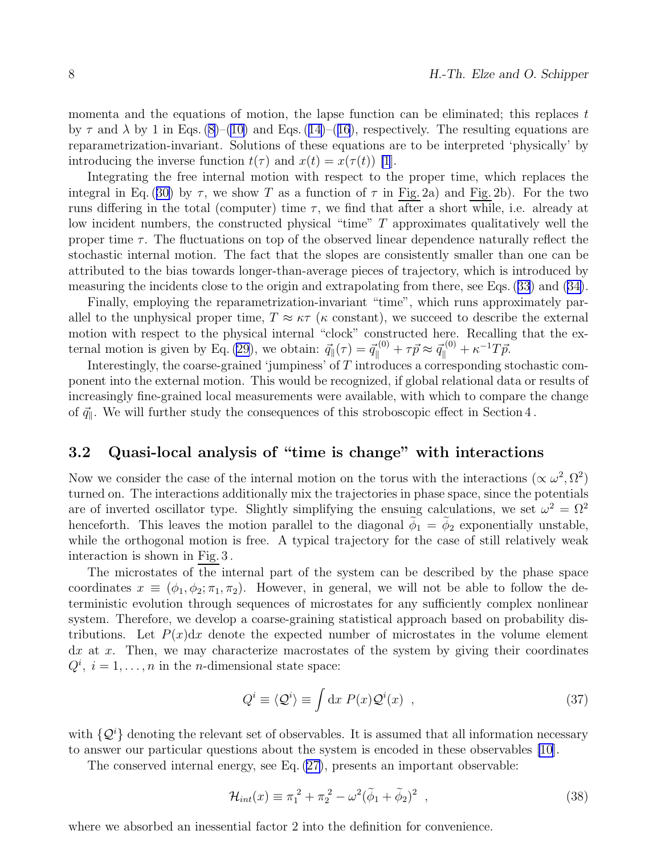<span id="page-7-0"></span>momenta and the equations of motion, the lapse function can be eliminated; this replaces  $t$ by $\tau$  and  $\lambda$  by 1 in Eqs. [\(8\)](#page-2-0)–([10\)](#page-2-0) and Eqs. ([14\)](#page-2-0)–([16](#page-2-0)), respectively. The resulting equations are reparametrization-invariant. Solutions of these equations are to be interpreted 'physically' by introducing the inverse function  $t(\tau)$  and  $x(t) = x(\tau(t))$  [\[1](#page-16-0)].

Integrating the free internal motion with respect to the proper time, which replaces the integralin Eq. ([30\)](#page-5-0) by  $\tau$ , we show T as a function of  $\tau$  in Fig. 2a) and Fig. 2b). For the two runs differing in the total (computer) time  $\tau$ , we find that after a short while, i.e. already at low incident numbers, the constructed physical "time" T approximates qualitatively well the proper time  $\tau$ . The fluctuations on top of the observed linear dependence naturally reflect the stochastic internal motion. The fact that the slopes are consistently smaller than one can be attributed to the bias towards longer-than-average pieces of trajectory, which is introduced by measuring the incidents close to the origin and extrapolating from there, see Eqs.([33](#page-6-0)) and([34\)](#page-6-0).

Finally, employing the reparametrization-invariant "time", which runs approximately parallel to the unphysical proper time,  $T \approx \kappa \tau$  ( $\kappa$  constant), we succeed to describe the external motion with respect to the physical internal "clock" constructed here. Recalling that the ex-ternal motion is given by Eq. [\(29](#page-4-0)), we obtain:  $\vec{q}_{\parallel}(\tau) = \vec{q}_{\parallel}^{(0)} + \tau \vec{p} \approx \vec{q}_{\parallel}^{(0)} + \kappa^{-1} T \vec{p}$ .

Interestingly, the coarse-grained 'jumpiness' of  $T$  introduces a corresponding stochastic component into the external motion. This would be recognized, if global relational data or results of increasingly fine-grained local measurements were available, with which to compare the change of  $\vec{q}_{\parallel}.$  We will further study the consequences of this stroboscopic effect in Section  $4$  .

### 3.2 Quasi-local analysis of "time is change" with interactions

Now we consider the case of the internal motion on the torus with the interactions  $(\propto \omega^2, \Omega^2)$ turned on. The interactions additionally mix the trajectories in phase space, since the potentials are of inverted oscillator type. Slightly simplifying the ensuing calculations, we set  $\omega^2 = \Omega^2$ henceforth. This leaves the motion parallel to the diagonal  $\tilde{\phi}_1 = \tilde{\phi}_2$  exponentially unstable, while the orthogonal motion is free. A typical trajectory for the case of still relatively weak interaction is shown in Fig. 3 .

The microstates of the internal part of the system can be described by the phase space coordinates  $x \equiv (\phi_1, \phi_2; \pi_1, \pi_2)$ . However, in general, we will not be able to follow the deterministic evolution through sequences of microstates for any sufficiently complex nonlinear system. Therefore, we develop a coarse-graining statistical approach based on probability distributions. Let  $P(x)dx$  denote the expected number of microstates in the volume element  $dx$  at x. Then, we may characterize macrostates of the system by giving their coordinates  $Q^i$ ,  $i = 1, ..., n$  in the *n*-dimensional state space:

$$
Q^i \equiv \langle \mathcal{Q}^i \rangle \equiv \int \mathrm{d}x \ P(x) \mathcal{Q}^i(x) \quad , \tag{37}
$$

with  $\{\mathcal{Q}^i\}$  denoting the relevant set of observables. It is assumed that all information necessary to answer our particular questions about the system is encoded in these observables [\[10](#page-17-0)].

The conserved internal energy, see Eq. [\(27\)](#page-3-0), presents an important observable:

$$
\mathcal{H}_{int}(x) \equiv \pi_1^2 + \pi_2^2 - \omega^2 (\tilde{\phi}_1 + \tilde{\phi}_2)^2 , \qquad (38)
$$

where we absorbed an inessential factor 2 into the definition for convenience.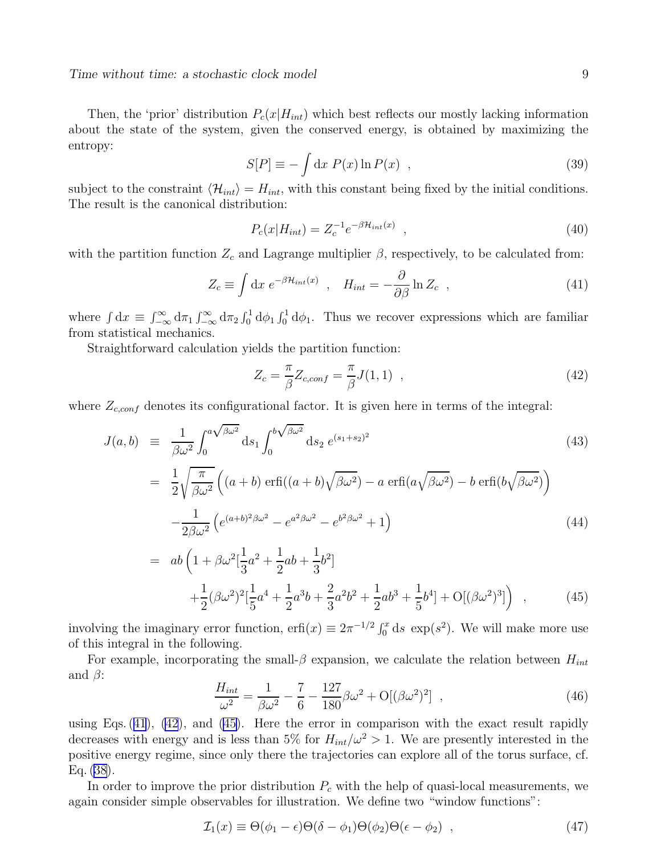<span id="page-8-0"></span>Then, the 'prior' distribution  $P_c(x|H_{int})$  which best reflects our mostly lacking information about the state of the system, given the conserved energy, is obtained by maximizing the entropy:

$$
S[P] \equiv -\int \mathrm{d}x \ P(x) \ln P(x) \quad , \tag{39}
$$

subject to the constraint  $\langle \mathcal{H}_{int} \rangle = H_{int}$ , with this constant being fixed by the initial conditions. The result is the canonical distribution:

$$
P_c(x|H_{int}) = Z_c^{-1} e^{-\beta H_{int}(x)} \t{,} \t(40)
$$

with the partition function  $Z_c$  and Lagrange multiplier  $\beta$ , respectively, to be calculated from:

$$
Z_c \equiv \int dx \; e^{-\beta \mathcal{H}_{int}(x)} \; , \quad H_{int} = -\frac{\partial}{\partial \beta} \ln Z_c \; , \tag{41}
$$

where  $\int dx \equiv \int_{-\infty}^{\infty} d\pi_1 \int_{-\infty}^{\infty} d\pi_2 \int_0^1 d\phi_1 \int_0^1 d\phi_1$ . Thus we recover expressions which are familiar from statistical mechanics.

Straightforward calculation yields the partition function:

$$
Z_c = \frac{\pi}{\beta} Z_{c,conf} = \frac{\pi}{\beta} J(1,1) \quad , \tag{42}
$$

where  $Z_{c,conf}$  denotes its configurational factor. It is given here in terms of the integral:

$$
J(a,b) \equiv \frac{1}{\beta \omega^2} \int_0^{a\sqrt{\beta \omega^2}} ds_1 \int_0^{b\sqrt{\beta \omega^2}} ds_2 e^{(s_1+s_2)^2}
$$
 (43)

$$
= \frac{1}{2} \sqrt{\frac{\pi}{\beta \omega^2}} \left( (a+b) \operatorname{erfi}((a+b) \sqrt{\beta \omega^2}) - a \operatorname{erfi}(a \sqrt{\beta \omega^2}) - b \operatorname{erfi}(b \sqrt{\beta \omega^2}) \right) - \frac{1}{2 \beta \omega^2} \left( e^{(a+b)^2 \beta \omega^2} - e^{a^2 \beta \omega^2} - e^{b^2 \beta \omega^2} + 1 \right)
$$
(44)

$$
= ab \left( 1 + \beta \omega^2 \left[ \frac{1}{3} a^2 + \frac{1}{2} ab + \frac{1}{3} b^2 \right] + \frac{1}{2} (\beta \omega^2)^2 \left[ \frac{1}{5} a^4 + \frac{1}{2} a^3 b + \frac{2}{3} a^2 b^2 + \frac{1}{2} a b^3 + \frac{1}{5} b^4 \right] + O[(\beta \omega^2)^3] \right) ,
$$
 (45)

involving the imaginary error function,  $\text{erfi}(x) \equiv 2\pi^{-1/2} \int_0^x ds \, \text{exp}(s^2)$ . We will make more use of this integral in the following.

For example, incorporating the small- $\beta$  expansion, we calculate the relation between  $H_{int}$ and  $\beta$ :

$$
\frac{H_{int}}{\omega^2} = \frac{1}{\beta \omega^2} - \frac{7}{6} - \frac{127}{180} \beta \omega^2 + O[(\beta \omega^2)^2], \qquad (46)
$$

using Eqs. (41), (42), and (45). Here the error in comparison with the exact result rapidly decreases with energy and is less than 5% for  $H_{int}/\omega^2 > 1$ . We are presently interested in the positive energy regime, since only there the trajectories can explore all of the torus surface, cf. Eq. [\(38\)](#page-7-0).

In order to improve the prior distribution  $P_c$  with the help of quasi-local measurements, we again consider simple observables for illustration. We define two "window functions":

$$
\mathcal{I}_1(x) \equiv \Theta(\phi_1 - \epsilon)\Theta(\delta - \phi_1)\Theta(\phi_2)\Theta(\epsilon - \phi_2) , \qquad (47)
$$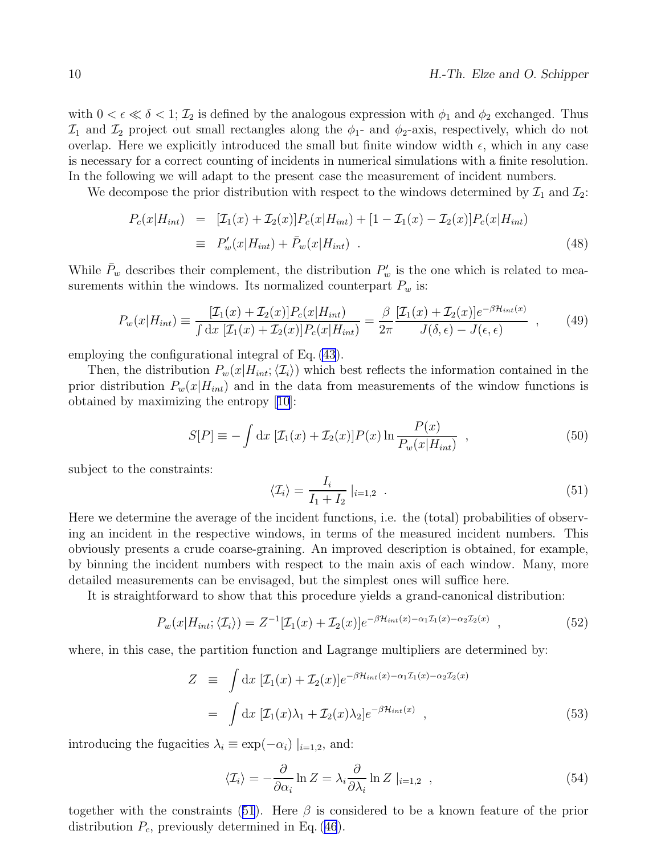<span id="page-9-0"></span>with  $0 < \epsilon \ll \delta < 1$ ;  $\mathcal{I}_2$  is defined by the analogous expression with  $\phi_1$  and  $\phi_2$  exchanged. Thus  $\mathcal{I}_1$  and  $\mathcal{I}_2$  project out small rectangles along the  $\phi_1$ - and  $\phi_2$ -axis, respectively, which do not overlap. Here we explicitly introduced the small but finite window width  $\epsilon$ , which in any case is necessary for a correct counting of incidents in numerical simulations with a finite resolution. In the following we will adapt to the present case the measurement of incident numbers.

We decompose the prior distribution with respect to the windows determined by  $\mathcal{I}_1$  and  $\mathcal{I}_2$ :

$$
P_c(x|H_{int}) = [ \mathcal{I}_1(x) + \mathcal{I}_2(x) ] P_c(x|H_{int}) + [1 - \mathcal{I}_1(x) - \mathcal{I}_2(x) ] P_c(x|H_{int})
$$
  
\n
$$
\equiv P_w'(x|H_{int}) + \bar{P}_w(x|H_{int}) . \qquad (48)
$$

While  $\bar{P}_w$  describes their complement, the distribution  $P'_w$  is the one which is related to measurements within the windows. Its normalized counterpart  $P_w$  is:

$$
P_w(x|H_{int}) \equiv \frac{[\mathcal{I}_1(x) + \mathcal{I}_2(x)]P_c(x|H_{int})}{\int dx \; [\mathcal{I}_1(x) + \mathcal{I}_2(x)]P_c(x|H_{int})} = \frac{\beta}{2\pi} \frac{[\mathcal{I}_1(x) + \mathcal{I}_2(x)]e^{-\beta \mathcal{H}_{int}(x)}}{J(\delta, \epsilon) - J(\epsilon, \epsilon)} ,\qquad(49)
$$

employing the configurational integral of Eq. [\(43](#page-8-0)).

Then, the distribution  $P_w(x|H_{int};\langle\mathcal{I}_i\rangle)$  which best reflects the information contained in the prior distribution  $P_w(x|H_{int})$  and in the data from measurements of the window functions is obtained by maximizing the entropy[[10](#page-17-0)]:

$$
S[P] \equiv -\int dx \, [\mathcal{I}_1(x) + \mathcal{I}_2(x)] P(x) \ln \frac{P(x)}{P_w(x|H_{int})}, \qquad (50)
$$

subject to the constraints:

$$
\langle \mathcal{I}_i \rangle = \frac{I_i}{I_1 + I_2} \big|_{i=1,2} \tag{51}
$$

Here we determine the average of the incident functions, i.e. the (total) probabilities of observing an incident in the respective windows, in terms of the measured incident numbers. This obviously presents a crude coarse-graining. An improved description is obtained, for example, by binning the incident numbers with respect to the main axis of each window. Many, more detailed measurements can be envisaged, but the simplest ones will suffice here.

It is straightforward to show that this procedure yields a grand-canonical distribution:

$$
P_w(x|H_{int};\langle \mathcal{I}_i \rangle) = Z^{-1}[\mathcal{I}_1(x) + \mathcal{I}_2(x)]e^{-\beta \mathcal{H}_{int}(x) - \alpha_1 \mathcal{I}_1(x) - \alpha_2 \mathcal{I}_2(x)}, \qquad (52)
$$

where, in this case, the partition function and Lagrange multipliers are determined by:

$$
Z \equiv \int dx \, [\mathcal{I}_1(x) + \mathcal{I}_2(x)] e^{-\beta \mathcal{H}_{int}(x) - \alpha_1 \mathcal{I}_1(x) - \alpha_2 \mathcal{I}_2(x)}
$$
  

$$
= \int dx \, [\mathcal{I}_1(x)\lambda_1 + \mathcal{I}_2(x)\lambda_2] e^{-\beta \mathcal{H}_{int}(x)}, \qquad (53)
$$

introducing the fugacities  $\lambda_i \equiv \exp(-\alpha_i) \mid_{i=1,2}$ , and:

$$
\langle \mathcal{I}_i \rangle = -\frac{\partial}{\partial \alpha_i} \ln Z = \lambda_i \frac{\partial}{\partial \lambda_i} \ln Z \mid_{i=1,2} , \qquad (54)
$$

together with the constraints (51). Here  $\beta$  is considered to be a known feature of the prior distribution $P_c$ , previously determined in Eq. ([46](#page-8-0)).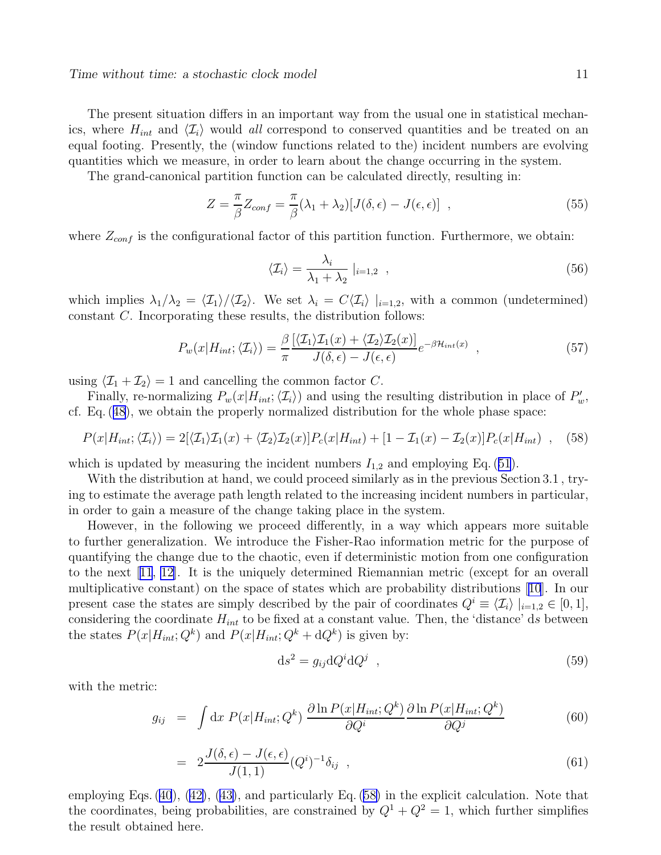<span id="page-10-0"></span>The present situation differs in an important way from the usual one in statistical mechanics, where  $H_{int}$  and  $\langle \mathcal{I}_i \rangle$  would all correspond to conserved quantities and be treated on an equal footing. Presently, the (window functions related to the) incident numbers are evolving quantities which we measure, in order to learn about the change occurring in the system.

The grand-canonical partition function can be calculated directly, resulting in:

$$
Z = \frac{\pi}{\beta} Z_{conf} = \frac{\pi}{\beta} (\lambda_1 + \lambda_2) [J(\delta, \epsilon) - J(\epsilon, \epsilon)] \quad , \tag{55}
$$

where  $Z_{conf}$  is the configurational factor of this partition function. Furthermore, we obtain:

$$
\langle \mathcal{I}_i \rangle = \frac{\lambda_i}{\lambda_1 + \lambda_2} \mid_{i=1,2} , \qquad (56)
$$

which implies  $\lambda_1/\lambda_2 = \langle \mathcal{I}_1 \rangle / \langle \mathcal{I}_2 \rangle$ . We set  $\lambda_i = C \langle \mathcal{I}_i \rangle |_{i=1,2}$ , with a common (undetermined) constant C. Incorporating these results, the distribution follows:

$$
P_w(x|H_{int};\langle \mathcal{I}_i \rangle) = \frac{\beta}{\pi} \frac{[\langle \mathcal{I}_1 \rangle \mathcal{I}_1(x) + \langle \mathcal{I}_2 \rangle \mathcal{I}_2(x)]}{J(\delta,\epsilon) - J(\epsilon,\epsilon)} e^{-\beta \mathcal{H}_{int}(x)}, \qquad (57)
$$

using  $\langle \mathcal{I}_1 + \mathcal{I}_2 \rangle = 1$  and cancelling the common factor C.

Finally, re-normalizing  $P_w(x|H_{int};\langle \mathcal{I}_i \rangle)$  and using the resulting distribution in place of  $P'_w$ , cf. Eq.([48](#page-9-0)), we obtain the properly normalized distribution for the whole phase space:

$$
P(x|H_{int};\langle \mathcal{I}_i \rangle) = 2[\langle \mathcal{I}_1 \rangle \mathcal{I}_1(x) + \langle \mathcal{I}_2 \rangle \mathcal{I}_2(x)] P_c(x|H_{int}) + [1 - \mathcal{I}_1(x) - \mathcal{I}_2(x)] P_c(x|H_{int}) , \quad (58)
$$

whichis updated by measuring the incident numbers  $I_{1,2}$  and employing Eq. ([51](#page-9-0)).

With the distribution at hand, we could proceed similarly as in the previous Section 3.1 , trying to estimate the average path length related to the increasing incident numbers in particular, in order to gain a measure of the change taking place in the system.

However, in the following we proceed differently, in a way which appears more suitable to further generalization. We introduce the Fisher-Rao information metric for the purpose of quantifying the change due to the chaotic, even if deterministic motion from one configuration to the next[[11](#page-17-0), [12\]](#page-17-0). It is the uniquely determined Riemannian metric (except for an overall multiplicative constant) on the space of states which are probability distributions[[10](#page-17-0)]. In our present case the states are simply described by the pair of coordinates  $Q^i \equiv \langle \mathcal{I}_i \rangle |_{i=1,2} \in [0,1],$ considering the coordinate  $H_{int}$  to be fixed at a constant value. Then, the 'distance' ds between the states  $P(x|H_{int};Q^k)$  and  $P(x|H_{int};Q^k + dQ^k)$  is given by:

$$
ds^2 = g_{ij} dQ^i dQ^j \t\t(59)
$$

with the metric:

$$
g_{ij} = \int dx P(x|H_{int};Q^k) \frac{\partial \ln P(x|H_{int};Q^k)}{\partial Q^i} \frac{\partial \ln P(x|H_{int};Q^k)}{\partial Q^j}
$$
(60)

$$
= 2\frac{J(\delta,\epsilon) - J(\epsilon,\epsilon)}{J(1,1)} (Q^i)^{-1} \delta_{ij} , \qquad (61)
$$

employing Eqs.([40](#page-8-0)),([42\)](#page-8-0),([43\)](#page-8-0), and particularly Eq. (58) in the explicit calculation. Note that the coordinates, being probabilities, are constrained by  $Q^1 + Q^2 = 1$ , which further simplifies the result obtained here.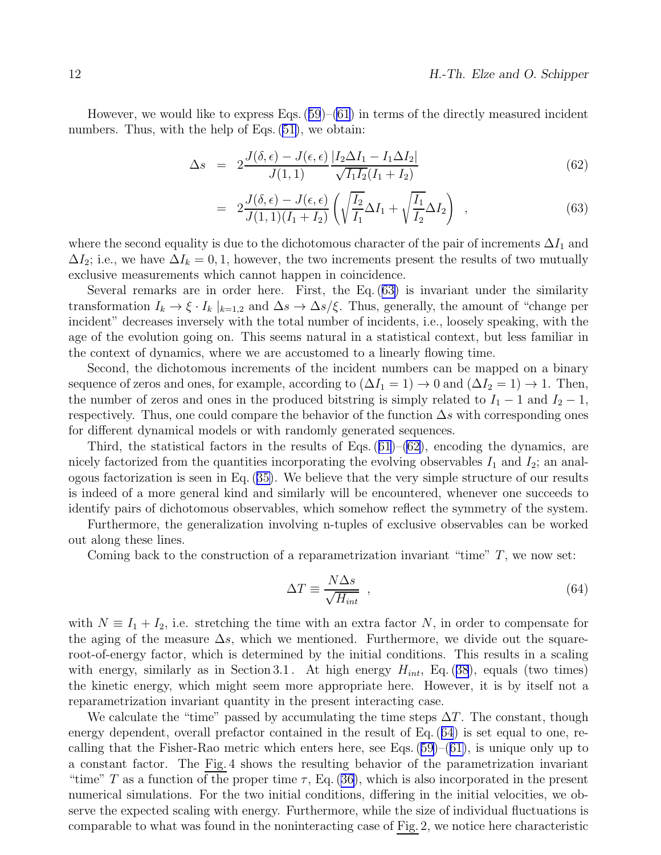<span id="page-11-0"></span>However,we would like to express Eqs.  $(59)$  $(59)$  $(59)$ – $(61)$  $(61)$  in terms of the directly measured incident numbers.Thus, with the help of Eqs.  $(51)$  $(51)$ , we obtain:

$$
\Delta s = 2 \frac{J(\delta, \epsilon) - J(\epsilon, \epsilon)}{J(1, 1)} \frac{|I_2 \Delta I_1 - I_1 \Delta I_2|}{\sqrt{I_1 I_2} (I_1 + I_2)}
$$
(62)

$$
= 2\frac{J(\delta,\epsilon) - J(\epsilon,\epsilon)}{J(1,1)(I_1 + I_2)} \left( \sqrt{\frac{I_2}{I_1}} \Delta I_1 + \sqrt{\frac{I_1}{I_2}} \Delta I_2 \right) , \qquad (63)
$$

where the second equality is due to the dichotomous character of the pair of increments  $\Delta I_1$  and  $\Delta I_2$ ; i.e., we have  $\Delta I_k = 0, 1$ , however, the two increments present the results of two mutually exclusive measurements which cannot happen in coincidence.

Several remarks are in order here. First, the Eq. (63) is invariant under the similarity transformation  $I_k \to \xi \cdot I_k |_{k=1,2}$  and  $\Delta s \to \Delta s/\xi$ . Thus, generally, the amount of "change per incident" decreases inversely with the total number of incidents, i.e., loosely speaking, with the age of the evolution going on. This seems natural in a statistical context, but less familiar in the context of dynamics, where we are accustomed to a linearly flowing time.

Second, the dichotomous increments of the incident numbers can be mapped on a binary sequence of zeros and ones, for example, according to  $(\Delta I_1 = 1) \rightarrow 0$  and  $(\Delta I_2 = 1) \rightarrow 1$ . Then, the number of zeros and ones in the produced bitstring is simply related to  $I_1 - 1$  and  $I_2 - 1$ , respectively. Thus, one could compare the behavior of the function  $\Delta s$  with corresponding ones for different dynamical models or with randomly generated sequences.

Third,the statistical factors in the results of Eqs.  $(61)$  $(61)$  $(61)$ – $(62)$ , encoding the dynamics, are nicely factorized from the quantities incorporating the evolving observables  $I_1$  and  $I_2$ ; an analogous factorization is seen in Eq.([35\)](#page-6-0). We believe that the very simple structure of our results is indeed of a more general kind and similarly will be encountered, whenever one succeeds to identify pairs of dichotomous observables, which somehow reflect the symmetry of the system.

Furthermore, the generalization involving n-tuples of exclusive observables can be worked out along these lines.

Coming back to the construction of a reparametrization invariant "time"  $T$ , we now set:

$$
\Delta T \equiv \frac{N \Delta s}{\sqrt{H_{int}}} \quad , \tag{64}
$$

with  $N \equiv I_1 + I_2$ , i.e. stretching the time with an extra factor N, in order to compensate for the aging of the measure  $\Delta s$ , which we mentioned. Furthermore, we divide out the squareroot-of-energy factor, which is determined by the initial conditions. This results in a scaling withenergy, similarly as in Section 3.1. At high energy  $H_{int}$ , Eq. ([38](#page-7-0)), equals (two times) the kinetic energy, which might seem more appropriate here. However, it is by itself not a reparametrization invariant quantity in the present interacting case.

We calculate the "time" passed by accumulating the time steps  $\Delta T$ . The constant, though energy dependent, overall prefactor contained in the result of Eq. (64) is set equal to one, recallingthat the Fisher-Rao metric which enters here, see Eqs.  $(59)$  $(59)$ – $(61)$  $(61)$ , is unique only up to a constant factor. The Fig. 4 shows the resulting behavior of the parametrization invariant "time"T as a function of the proper time  $\tau$ , Eq. ([36\)](#page-6-0), which is also incorporated in the present numerical simulations. For the two initial conditions, differing in the initial velocities, we observe the expected scaling with energy. Furthermore, while the size of individual fluctuations is comparable to what was found in the noninteracting case of Fig. 2, we notice here characteristic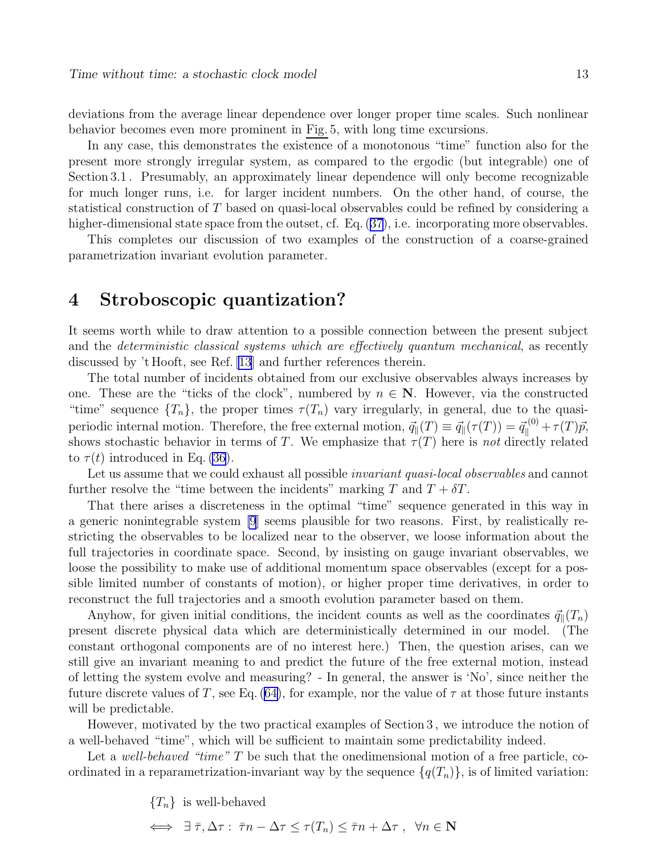deviations from the average linear dependence over longer proper time scales. Such nonlinear behavior becomes even more prominent in Fig. 5, with long time excursions.

In any case, this demonstrates the existence of a monotonous "time" function also for the present more strongly irregular system, as compared to the ergodic (but integrable) one of Section 3.1 . Presumably, an approximately linear dependence will only become recognizable for much longer runs, i.e. for larger incident numbers. On the other hand, of course, the statistical construction of T based on quasi-local observables could be refined by considering a higher-dimensionalstate space from the outset, cf. Eq.  $(37)$  $(37)$ , i.e. incorporating more observables.

This completes our discussion of two examples of the construction of a coarse-grained parametrization invariant evolution parameter.

## 4 Stroboscopic quantization?

It seems worth while to draw attention to a possible connection between the present subject and the *deterministic classical systems which are effectively quantum mechanical*, as recently discussed by 't Hooft, see Ref. [\[13](#page-17-0)] and further references therein.

The total number of incidents obtained from our exclusive observables always increases by one. These are the "ticks of the clock", numbered by  $n \in \mathbb{N}$ . However, via the constructed "time" sequence  $\{T_n\}$ , the proper times  $\tau(T_n)$  vary irregularly, in general, due to the quasiperiodic internal motion. Therefore, the free external motion,  $\vec{q}_{\parallel}(T) \equiv \vec{q}_{\parallel}(\tau(T)) = \vec{q}_{\parallel}^{(0)} + \tau(T)\vec{p},$ shows stochastic behavior in terms of T. We emphasize that  $\tau(T)$  here is not directly related to  $\tau(t)$  introduced in Eq. [\(36](#page-6-0)).

Let us assume that we could exhaust all possible *invariant quasi-local observables* and cannot further resolve the "time between the incidents" marking T and  $T + \delta T$ .

That there arises a discreteness in the optimal "time" sequence generated in this way in a generic nonintegrable system [\[9](#page-17-0)] seems plausible for two reasons. First, by realistically restricting the observables to be localized near to the observer, we loose information about the full trajectories in coordinate space. Second, by insisting on gauge invariant observables, we loose the possibility to make use of additional momentum space observables (except for a possible limited number of constants of motion), or higher proper time derivatives, in order to reconstruct the full trajectories and a smooth evolution parameter based on them.

Anyhow, for given initial conditions, the incident counts as well as the coordinates  $\vec{q}_{\parallel}(T_n)$ present discrete physical data which are deterministically determined in our model. (The constant orthogonal components are of no interest here.) Then, the question arises, can we still give an invariant meaning to and predict the future of the free external motion, instead of letting the system evolve and measuring? - In general, the answer is 'No', since neither the future discrete values of T, see Eq. [\(64\)](#page-11-0), for example, nor the value of  $\tau$  at those future instants will be predictable.

However, motivated by the two practical examples of Section 3 , we introduce the notion of a well-behaved "time", which will be sufficient to maintain some predictability indeed.

Let a well-behaved "time"  $T$  be such that the onedimensional motion of a free particle, coordinated in a reparametrization-invariant way by the sequence  $\{q(T_n)\}\$ , is of limited variation:

 ${T_n}$  is well-behaved

$$
\iff \exists \bar{\tau}, \Delta \tau : \bar{\tau}n - \Delta \tau \leq \tau(T_n) \leq \bar{\tau}n + \Delta \tau \ , \ \forall n \in \mathbf{N}
$$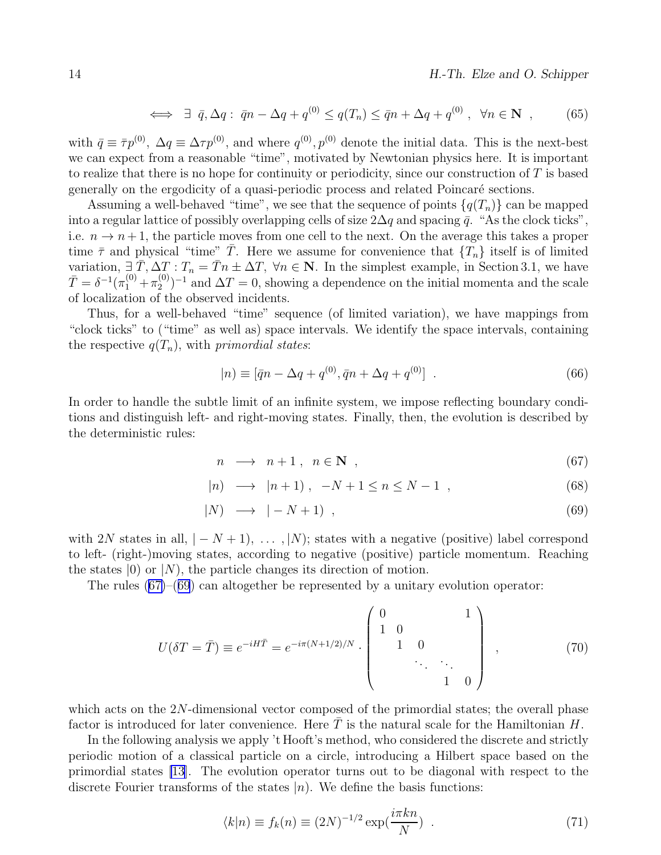$$
\iff \exists \ \bar{q}, \Delta q: \ \bar{q}n - \Delta q + q^{(0)} \leq q(T_n) \leq \bar{q}n + \Delta q + q^{(0)}, \ \ \forall n \in \mathbf{N} \ , \tag{65}
$$

<span id="page-13-0"></span>with  $\bar{q} \equiv \bar{\tau}p^{(0)}$ ,  $\Delta q \equiv \Delta \tau p^{(0)}$ , and where  $q^{(0)}, p^{(0)}$  denote the initial data. This is the next-best we can expect from a reasonable "time", motivated by Newtonian physics here. It is important to realize that there is no hope for continuity or periodicity, since our construction of  $T$  is based generally on the ergodicity of a quasi-periodic process and related Poincaré sections.

Assuming a well-behaved "time", we see that the sequence of points  $\{q(T_n)\}\)$  can be mapped into a regular lattice of possibly overlapping cells of size  $2\Delta q$  and spacing  $\bar{q}$ . "As the clock ticks", i.e.  $n \to n+1$ , the particle moves from one cell to the next. On the average this takes a proper time  $\bar{\tau}$  and physical "time" T. Here we assume for convenience that  $\{T_n\}$  itself is of limited variation,  $\exists \overline{T}, \Delta T : T_n = \overline{T}n \pm \Delta T$ ,  $\forall n \in \mathbb{N}$ . In the simplest example, in Section 3.1, we have  $\bar{T} = \delta^{-1}(\pi_1^{(0)} + \pi_2^{(0)}$  $2^{(0)}$ <sup>-1</sup> and  $\Delta T = 0$ , showing a dependence on the initial momenta and the scale of localization of the observed incidents.

Thus, for a well-behaved "time" sequence (of limited variation), we have mappings from "clock ticks" to ("time" as well as) space intervals. We identify the space intervals, containing the respective  $q(T_n)$ , with *primordial states*:

$$
|n) \equiv [\bar{q}n - \Delta q + q^{(0)}, \bar{q}n + \Delta q + q^{(0)}] \quad . \tag{66}
$$

In order to handle the subtle limit of an infinite system, we impose reflecting boundary conditions and distinguish left- and right-moving states. Finally, then, the evolution is described by the deterministic rules:

$$
n \longrightarrow n+1, n \in \mathbb{N}, \qquad (67)
$$

$$
|n\rangle \longrightarrow |n+1\rangle, -N+1 \le n \le N-1 , \qquad (68)
$$

$$
|N\rangle \longrightarrow |-N+1\rangle , \qquad (69)
$$

with 2N states in all,  $|-N+1\rangle$ , ..., |N); states with a negative (positive) label correspond to left- (right-)moving states, according to negative (positive) particle momentum. Reaching the states  $(0)$  or  $(N)$ , the particle changes its direction of motion.

The rules (67)–(69) can altogether be represented by a unitary evolution operator:

$$
U(\delta T = \bar{T}) \equiv e^{-iH\bar{T}} = e^{-i\pi(N+1/2)/N} \cdot \begin{pmatrix} 0 & 1 \\ 1 & 0 \\ 1 & 0 \\ \ddots & \ddots \\ 1 & 0 \end{pmatrix} , \qquad (70)
$$

which acts on the 2N-dimensional vector composed of the primordial states; the overall phase factor is introduced for later convenience. Here  $\overline{T}$  is the natural scale for the Hamiltonian H.

In the following analysis we apply 't Hooft's method, who considered the discrete and strictly periodic motion of a classical particle on a circle, introducing a Hilbert space based on the primordial states [\[13](#page-17-0)]. The evolution operator turns out to be diagonal with respect to the discrete Fourier transforms of the states  $|n\rangle$ . We define the basis functions:

$$
\langle k|n \rangle \equiv f_k(n) \equiv (2N)^{-1/2} \exp(\frac{i\pi k n}{N}) \quad . \tag{71}
$$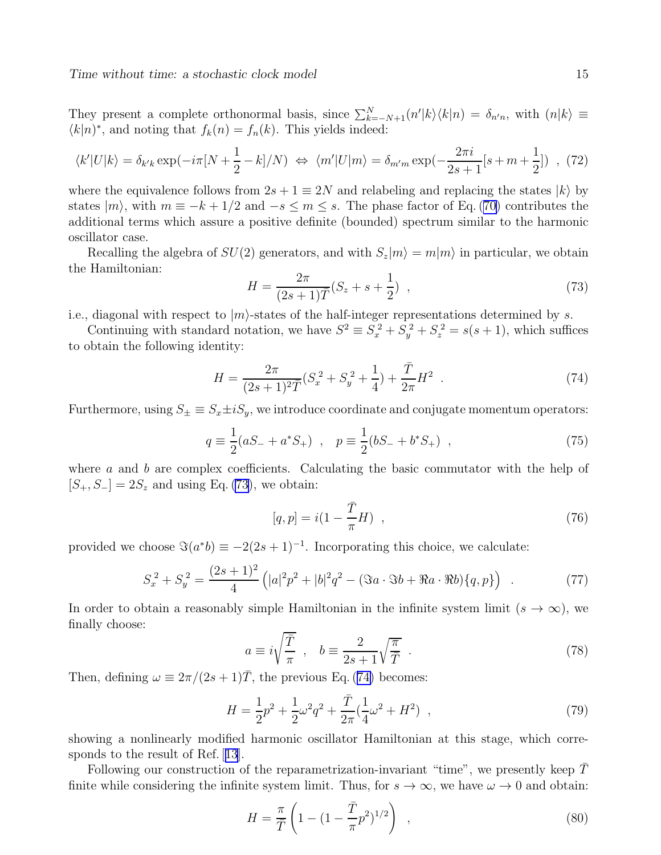<span id="page-14-0"></span>They present a complete orthonormal basis, since  $\sum_{k=-N+1}^{N} (n'|k\rangle\langle k|n\rangle = \delta_{n'n}$ , with  $(n|k\rangle \equiv$  $\langle k|n \rangle^*$ , and noting that  $f_k(n) = f_n(k)$ . This yields indeed:

$$
\langle k' | U | k \rangle = \delta_{k'k} \exp\left(-i\pi \left[N + \frac{1}{2} - k\right] / N\right) \iff \langle m' | U | m \rangle = \delta_{m'm} \exp\left(-\frac{2\pi i}{2s + 1} [s + m + \frac{1}{2}]\right) , \tag{72}
$$

where the equivalence follows from  $2s + 1 \equiv 2N$  and relabeling and replacing the states  $|k\rangle$  by states $|m\rangle$ , with  $m \equiv -k + 1/2$  and  $-s \leq m \leq s$ . The phase factor of Eq. ([70\)](#page-13-0) contributes the additional terms which assure a positive definite (bounded) spectrum similar to the harmonic oscillator case.

Recalling the algebra of  $SU(2)$  generators, and with  $S_z|m\rangle = m|m\rangle$  in particular, we obtain the Hamiltonian:

$$
H = \frac{2\pi}{(2s+1)\bar{T}}(S_z + s + \frac{1}{2}) \quad , \tag{73}
$$

i.e., diagonal with respect to  $|m\rangle$ -states of the half-integer representations determined by s.

Continuing with standard notation, we have  $S^2 \equiv S_x^2 + S_y^2 + S_z^2 = s(s+1)$ , which suffices to obtain the following identity:

$$
H = \frac{2\pi}{(2s+1)^2 \bar{T}} (S_x^2 + S_y^2 + \frac{1}{4}) + \frac{\bar{T}}{2\pi} H^2
$$
 (74)

Furthermore, using  $S_{\pm} \equiv S_x \pm i S_y$ , we introduce coordinate and conjugate momentum operators:

$$
q \equiv \frac{1}{2}(aS_{-} + a^{*}S_{+}) \ , \quad p \equiv \frac{1}{2}(bS_{-} + b^{*}S_{+}) \ , \tag{75}
$$

where  $\alpha$  and  $\dot{b}$  are complex coefficients. Calculating the basic commutator with the help of  $[S_+, S_-] = 2S_z$  and using Eq. (73), we obtain:

$$
[q, p] = i(1 - \frac{\bar{T}}{\pi}H) \quad , \tag{76}
$$

provided we choose  $\Im(a^*b) \equiv -2(2s+1)^{-1}$ . Incorporating this choice, we calculate:

$$
S_x^2 + S_y^2 = \frac{(2s+1)^2}{4} \left( |a|^2 p^2 + |b|^2 q^2 - (\Im a \cdot \Im b + \Re a \cdot \Re b) \{q, p\} \right) . \tag{77}
$$

In order to obtain a reasonably simple Hamiltonian in the infinite system limit  $(s \to \infty)$ , we finally choose:

$$
a \equiv i\sqrt{\frac{\overline{T}}{\pi}} \ , \quad b \equiv \frac{2}{2s+1}\sqrt{\frac{\pi}{\overline{T}}}
$$
 (78)

Then, defining  $\omega \equiv 2\pi/(2s+1)\overline{T}$ , the previous Eq. (74) becomes:

$$
H = \frac{1}{2}p^2 + \frac{1}{2}\omega^2 q^2 + \frac{\bar{T}}{2\pi}(\frac{1}{4}\omega^2 + H^2) ,
$$
 (79)

showing a nonlinearly modified harmonic oscillator Hamiltonian at this stage, which corresponds to the result of Ref.[[13](#page-17-0)].

Following our construction of the reparametrization-invariant "time", we presently keep  $T$ finite while considering the infinite system limit. Thus, for  $s \to \infty$ , we have  $\omega \to 0$  and obtain:

$$
H = \frac{\pi}{\bar{T}} \left( 1 - (1 - \frac{\bar{T}}{\pi} p^2)^{1/2} \right) , \qquad (80)
$$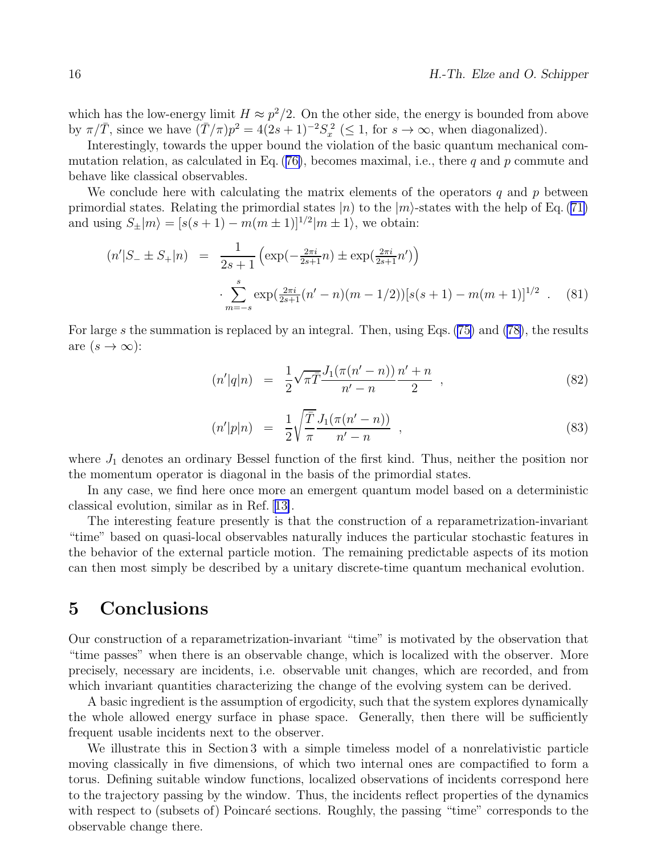which has the low-energy limit  $H \approx p^2/2$ . On the other side, the energy is bounded from above by  $\pi/\overline{T}$ , since we have  $(\overline{T}/\pi)p^2 = 4(2s+1)^{-2}S_x^2 \leq 1$ , for  $s \to \infty$ , when diagonalized).

Interestingly, towards the upper bound the violation of the basic quantum mechanical commutationrelation, as calculated in Eq.  $(76)$  $(76)$ , becomes maximal, i.e., there q and p commute and behave like classical observables.

We conclude here with calculating the matrix elements of the operators  $q$  and  $p$  between primordialstates. Relating the primordial states  $|n\rangle$  to the  $|m\rangle$ -states with the help of Eq. ([71\)](#page-13-0) and using  $S_{\pm}|m\rangle = [s(s+1) - m(m \pm 1)]^{1/2}|m \pm 1\rangle$ , we obtain:

$$
(n'|S_{-} \pm S_{+}|n) = \frac{1}{2s+1} \left( \exp\left(-\frac{2\pi i}{2s+1}n\right) \pm \exp\left(\frac{2\pi i}{2s+1}n'\right) \right)
$$

$$
\cdot \sum_{m=-s}^{s} \exp\left(\frac{2\pi i}{2s+1} (n'-n)(m-1/2)\right) [s(s+1) - m(m+1)]^{1/2} . \quad (81)
$$

For large s the summation is replaced by an integral. Then, using Eqs. [\(75\)](#page-14-0) and [\(78\)](#page-14-0), the results are  $(s \to \infty)$ :

$$
(n'|q|n) = \frac{1}{2}\sqrt{\pi}\overline{T}\frac{J_1(\pi(n'-n))}{n'-n}\frac{n'+n}{2} , \qquad (82)
$$

$$
(n'|p|n) = \frac{1}{2} \sqrt{\frac{\overline{T}}{\pi}} \frac{J_1(\pi(n'-n))}{n'-n} , \qquad (83)
$$

where  $J_1$  denotes an ordinary Bessel function of the first kind. Thus, neither the position nor the momentum operator is diagonal in the basis of the primordial states.

In any case, we find here once more an emergent quantum model based on a deterministic classical evolution, similar as in Ref.[[13\]](#page-17-0).

The interesting feature presently is that the construction of a reparametrization-invariant "time" based on quasi-local observables naturally induces the particular stochastic features in the behavior of the external particle motion. The remaining predictable aspects of its motion can then most simply be described by a unitary discrete-time quantum mechanical evolution.

## 5 Conclusions

Our construction of a reparametrization-invariant "time" is motivated by the observation that "time passes" when there is an observable change, which is localized with the observer. More precisely, necessary are incidents, i.e. observable unit changes, which are recorded, and from which invariant quantities characterizing the change of the evolving system can be derived.

A basic ingredient is the assumption of ergodicity, such that the system explores dynamically the whole allowed energy surface in phase space. Generally, then there will be sufficiently frequent usable incidents next to the observer.

We illustrate this in Section 3 with a simple timeless model of a nonrelativistic particle moving classically in five dimensions, of which two internal ones are compactified to form a torus. Defining suitable window functions, localized observations of incidents correspond here to the trajectory passing by the window. Thus, the incidents reflect properties of the dynamics with respect to (subsets of) Poincaré sections. Roughly, the passing "time" corresponds to the observable change there.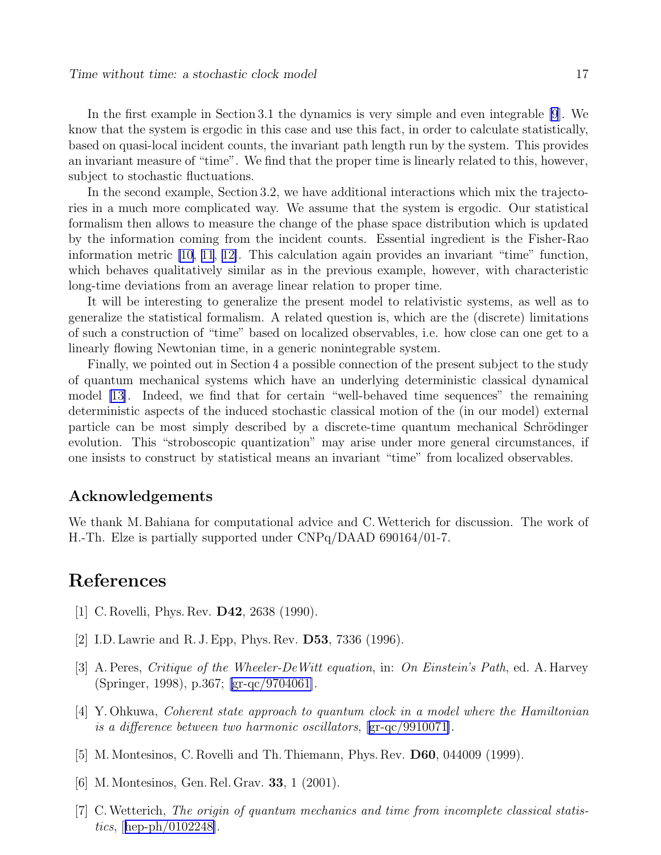<span id="page-16-0"></span>In the first example in Section 3.1 the dynamics is very simple and even integrable [\[9](#page-17-0)]. We know that the system is ergodic in this case and use this fact, in order to calculate statistically, based on quasi-local incident counts, the invariant path length run by the system. This provides an invariant measure of "time". We find that the proper time is linearly related to this, however, subject to stochastic fluctuations.

In the second example, Section 3.2, we have additional interactions which mix the trajectories in a much more complicated way. We assume that the system is ergodic. Our statistical formalism then allows to measure the change of the phase space distribution which is updated by the information coming from the incident counts. Essential ingredient is the Fisher-Rao information metric [\[10](#page-17-0), [11](#page-17-0), [12\]](#page-17-0). This calculation again provides an invariant "time" function, which behaves qualitatively similar as in the previous example, however, with characteristic long-time deviations from an average linear relation to proper time.

It will be interesting to generalize the present model to relativistic systems, as well as to generalize the statistical formalism. A related question is, which are the (discrete) limitations of such a construction of "time" based on localized observables, i.e. how close can one get to a linearly flowing Newtonian time, in a generic nonintegrable system.

Finally, we pointed out in Section 4 a possible connection of the present subject to the study of quantum mechanical systems which have an underlying deterministic classical dynamical model [\[13\]](#page-17-0). Indeed, we find that for certain "well-behaved time sequences" the remaining deterministic aspects of the induced stochastic classical motion of the (in our model) external particle can be most simply described by a discrete-time quantum mechanical Schrödinger evolution. This "stroboscopic quantization" may arise under more general circumstances, if one insists to construct by statistical means an invariant "time" from localized observables.

### Acknowledgements

We thank M. Bahiana for computational advice and C.Wetterich for discussion. The work of H.-Th. Elze is partially supported under CNPq/DAAD 690164/01-7.

## References

- [1] C. Rovelli, Phys. Rev. D42, 2638 (1990).
- [2] I.D. Lawrie and R. J. Epp, Phys. Rev. D53, 7336 (1996).
- [3] A. Peres, Critique of the Wheeler-DeWitt equation, in: On Einstein's Path, ed. A. Harvey (Springer, 1998), p.367; [\[gr-qc/9704061\]](http://arxiv.org/abs/gr-qc/9704061).
- [4] Y. Ohkuwa, Coherent state approach to quantum clock in a model where the Hamiltonian is a difference between two harmonic oscillators, [\[gr-qc/9910071\]](http://arxiv.org/abs/gr-qc/9910071).
- [5] M. Montesinos, C. Rovelli and Th. Thiemann, Phys. Rev. D60, 044009 (1999).
- [6] M. Montesinos, Gen. Rel. Grav. 33, 1 (2001).
- [7] C.Wetterich, The origin of quantum mechanics and time from incomplete classical statistics,[[hep-ph/0102248\]](http://arxiv.org/abs/hep-ph/0102248).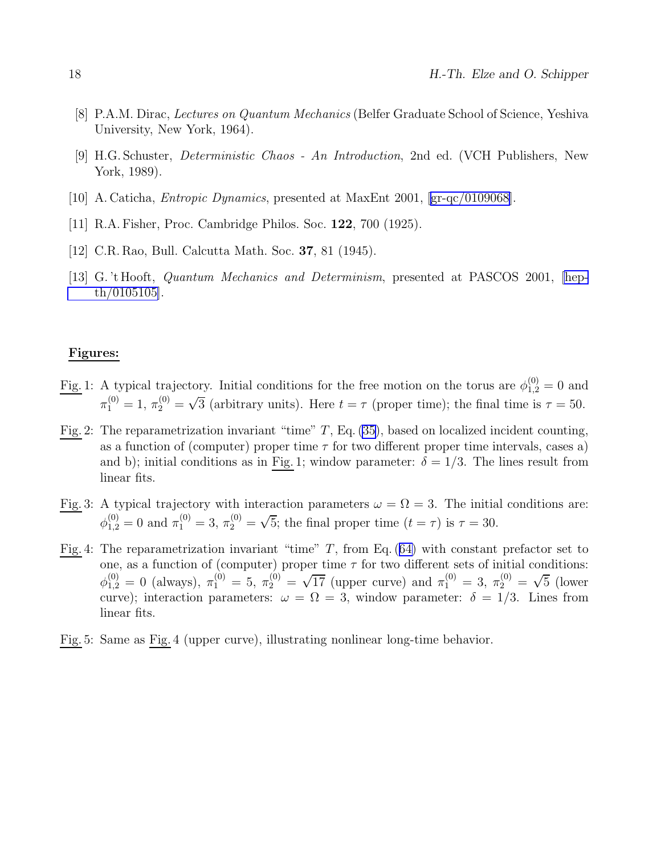- <span id="page-17-0"></span>[8] P.A.M. Dirac, Lectures on Quantum Mechanics (Belfer Graduate School of Science, Yeshiva University, New York, 1964).
- [9] H.G. Schuster, Deterministic Chaos An Introduction, 2nd ed. (VCH Publishers, New York, 1989).
- [10] A. Caticha, Entropic Dynamics, presented at MaxEnt 2001, [\[gr-qc/0109068\]](http://arxiv.org/abs/gr-qc/0109068).
- [11] R.A. Fisher, Proc. Cambridge Philos. Soc. 122, 700 (1925).
- [12] C.R. Rao, Bull. Calcutta Math. Soc. 37, 81 (1945).
- [13] G. 't Hooft, Quantum Mechanics and Determinism, presented at PASCOS 2001, [\[hep](http://arxiv.org/abs/hep-th/0105105)[th/0105105\]](http://arxiv.org/abs/hep-th/0105105).

#### Figures:

- Fig. 1: A typical trajectory. Initial conditions for the free motion on the torus are  $\phi_{1,2}^{(0)} = 0$  and  $\pi_1^{(0)} = 1, \pi_2^{(0)} = \sqrt{3}$  (arbitrary units). Here  $t = \tau$  (proper time); the final time is  $\tau = 50$ .
- Fig. 2: The reparametrization invariant "time"  $T$ , Eq. [\(35\)](#page-6-0), based on localized incident counting, as a function of (computer) proper time  $\tau$  for two different proper time intervals, cases a) and b); initial conditions as in Fig. 1; window parameter:  $\delta = 1/3$ . The lines result from linear fits.
- Fig. 3: A typical trajectory with interaction parameters  $\omega = \Omega = 3$ . The initial conditions are:  $\phi_{1,2}^{(0)} = 0$  and  $\pi_1^{(0)} = 3$ ,  $\pi_2^{(0)} = \sqrt{5}$ ; the final proper time  $(t = \tau)$  is  $\tau = 30$ .
- Fig.4: The reparametrization invariant "time"  $T$ , from Eq. ([64\)](#page-11-0) with constant prefactor set to one, as a function of (computer) proper time  $\tau$  for two different sets of initial conditions:  $\phi_{1,2}^{(0)} = 0$  (always),  $\pi_1^{(0)} = 5$ ,  $\pi_2^{(0)} = \sqrt{17}$  (upper curve) and  $\pi_1^{(0)} = 3$ ,  $\pi_2^{(0)} = \sqrt{5}$  (lower curve); interaction parameters:  $\omega = \Omega = 3$ , window parameter:  $\delta = 1/3$ . Lines from linear fits.
- Fig. 5: Same as Fig. 4 (upper curve), illustrating nonlinear long-time behavior.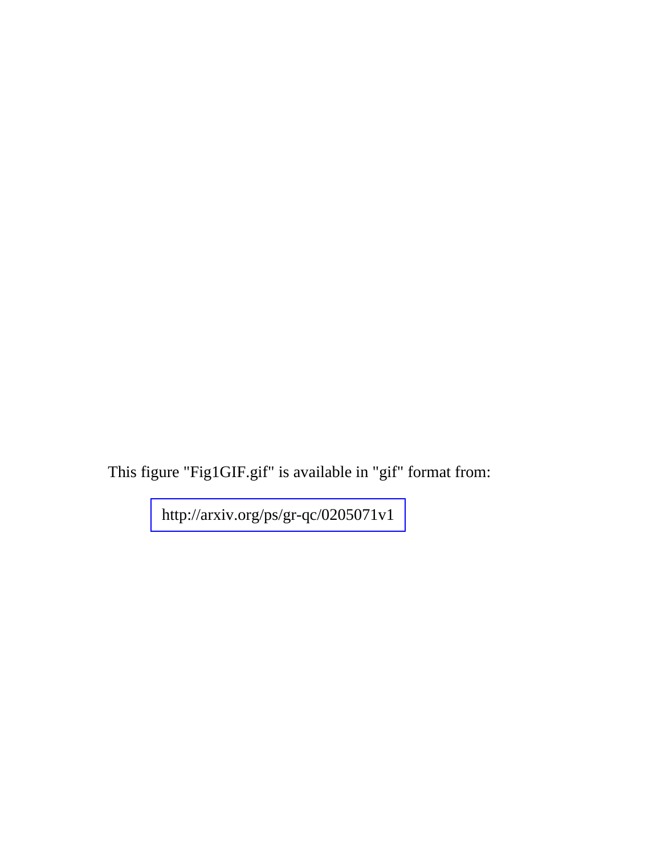This figure "Fig1GIF.gif" is available in "gif" format from:

<http://arxiv.org/ps/gr-qc/0205071v1>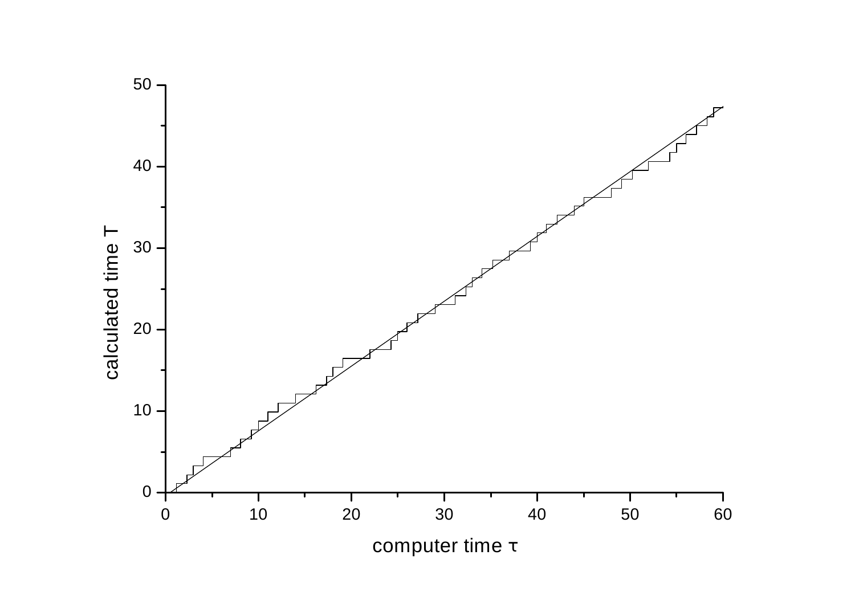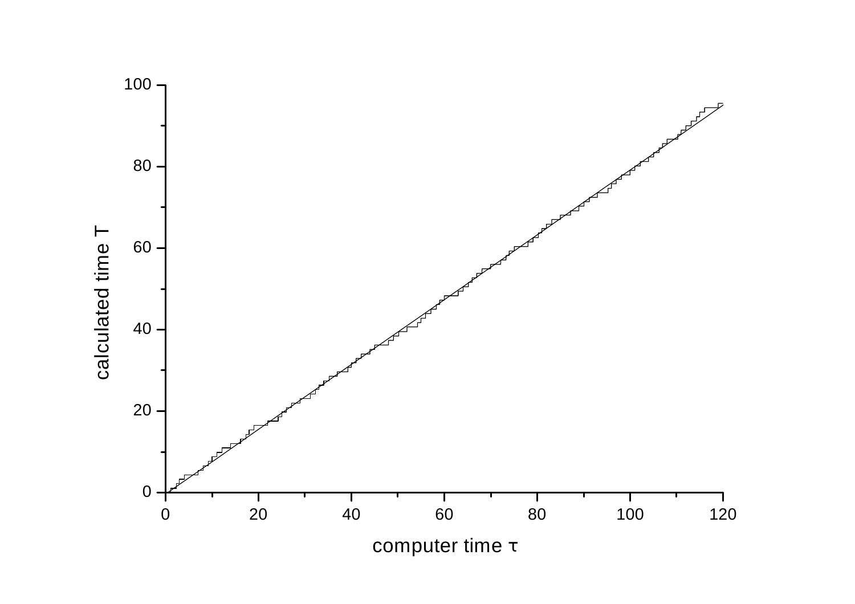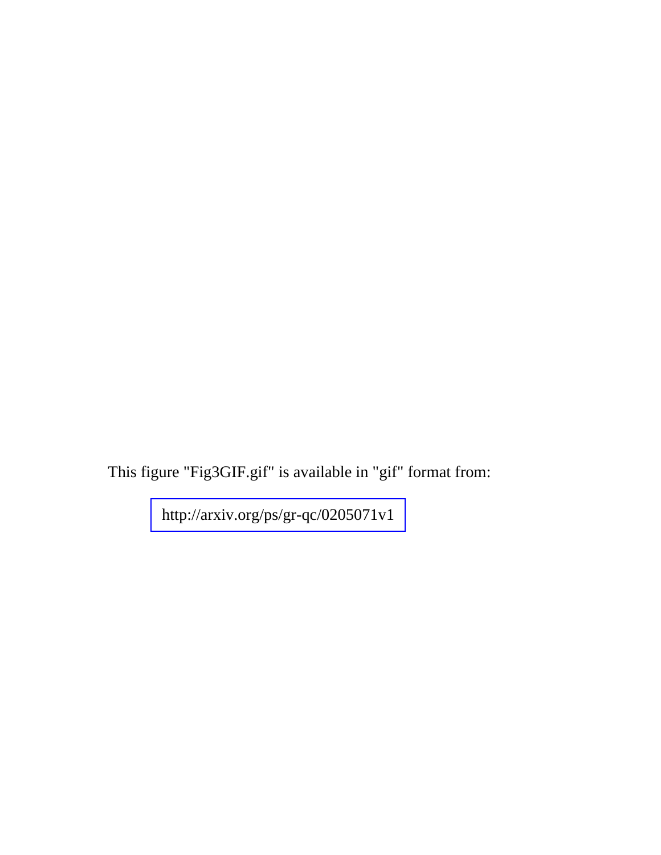This figure "Fig3GIF.gif" is available in "gif" format from:

<http://arxiv.org/ps/gr-qc/0205071v1>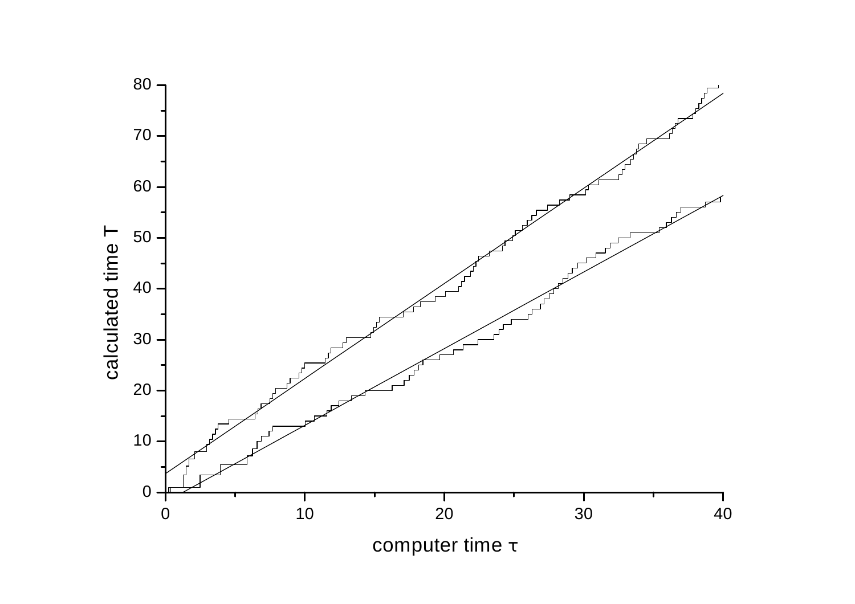